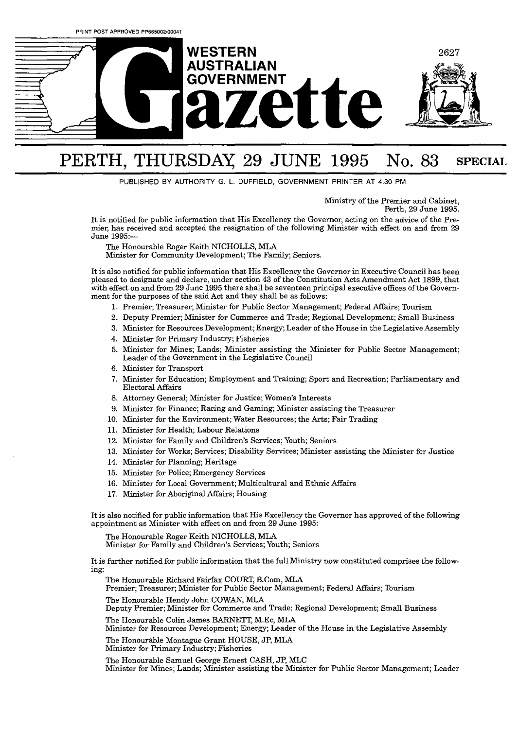

## PERTH, THURSDAY 29 JUNE 1995 No. 83 SPECIAL

PUBLISHED BY AUTHORITY **G.** L. **DUFFIELD,** GOVERNMENT PRINTER **AT 4.30** PM

Ministry of the Premier and Cabinet, Perth, 29 June 1995.

It is notified for public information that His Excellency the Governor, acting on the advice of the Premier, has received and accepted the resignation of the following Minister with effect on and from 29 June 1995:-

The Honourable Roger Keith NICHOLLS, MLA

Minister for Community Development; The Family; Seniors.

It is also notified for public information that His Excellency the Governor in Executive Council has been pleased to designate and declare, under section **43** of the Constitution Acts Amendment Act 1899, that with effect on and from 29 June 1995 there shall be seventeen principal executive offices of the Government for the purposes of the said Act and they shall be as follows:

- 1. Premier; Treasurer; Minister for Public Sector Management; Federal Affairs; Tourism
- Deputy Premier; Minister for Commerce and Trade; Regional Development; Small Business
- Minister for Resources Development; Energy; Leader of the House in the Legislative Assembly
- Minister for Primary Industry; Fisheries
- Minister for Mines; Lands; Minister assisting the Minister for Public Sector Management; Leader of the Government in the Legislative Council
- 6. Minister for Transport
- 7. Minister for Education; Employment and Training; Sport and Recreation; Parliamentary and Electoral Affairs
- Attorney General; Minister for Justice; Women's Interests
- 9. Minister for Finance; Racing and Gaming; Minister assisting the Treasurer
- 10. Minister for the Environment; Water Resources; the Arts; Fair Trading
- 11. Minister for Health; Labour Relations
- 12. Minister for Family and Children's Services: Youth: Seniors
- 13. Minister for Works; Services; Disability Services; Minister assisting the Minister for Justice
- 14. Minister for Planning; Heritage
- 15. Minister for Police; Emergency Services
- 16. Minister for Local Government; Multicultural and Ethnic Affairs
- 17. Minister for Aboriginal Affairs; Housing

It is also notified for public information that His Excellency the Governor has approved of the following appointment as Minister with effect on and from 29 June 1995:

The Honourable Roger Keith NICHOLLS, MLA

Minister for Family and Children's Services; Youth; Seniors

It is further notified for public information that the full Ministry now constituted comprises **the** following:

The Honourable Richard Fairfax COURT, B.Com, MLA

Premier; Treasurer; Minister for Public Sector Management; Federal Affairs; Tourism

The Honourable Hendy John COWAN, **MLA** 

Deputy Premier; Minister for Commerce and Trade; Regional Development; Small Business The Honourable Colin James BARNETT, M.Ec, MLA

Minister for Resources Development; Energy; Leader of the House in the Legislative Assembly

The Honourable Montague Grant HOUSE, JP, MU

Minister for Primary Industry; Fisheries

The Honourable Samuel George Ernest CASH, JP, MLC Minister for Mines; Lands; Minister assisting the Minister for Public Sector Management; Leader